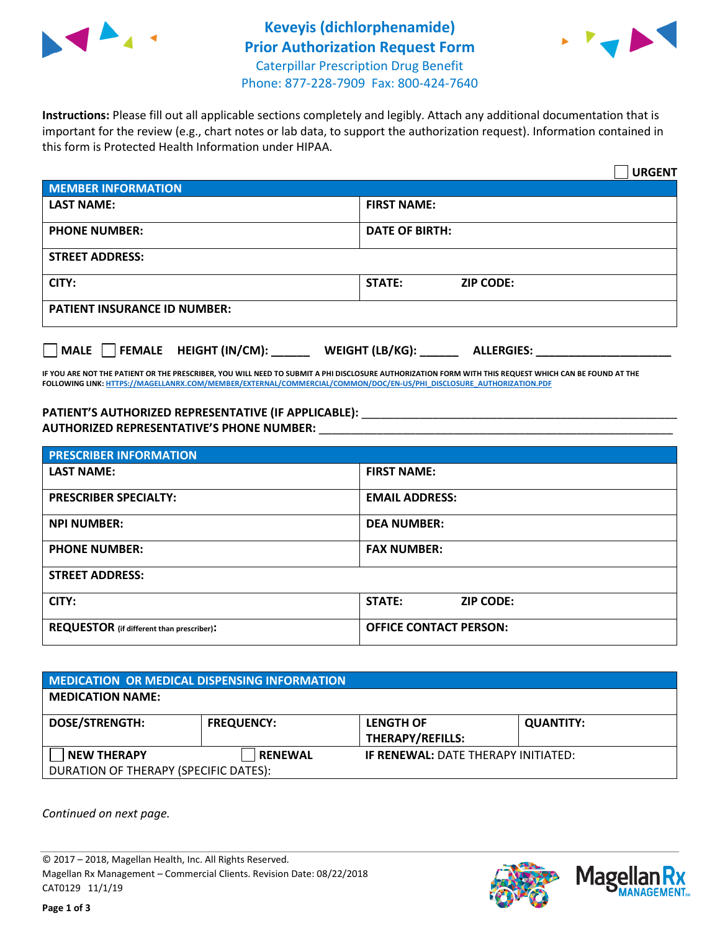



**Instructions:** Please fill out all applicable sections completely and legibly. Attach any additional documentation that is important for the review (e.g., chart notes or lab data, to support the authorization request). Information contained in this form is Protected Health Information under HIPAA.

|                                       | <b>URGENT</b>                        |
|---------------------------------------|--------------------------------------|
| <b>MEMBER INFORMATION</b>             |                                      |
| <b>LAST NAME:</b>                     | <b>FIRST NAME:</b>                   |
| <b>PHONE NUMBER:</b>                  | <b>DATE OF BIRTH:</b>                |
| <b>STREET ADDRESS:</b>                |                                      |
| CITY:                                 | STATE:<br><b>ZIP CODE:</b>           |
| <b>PATIENT INSURANCE ID NUMBER:</b>   |                                      |
| FEMALE HEIGHT (IN/CM):<br><b>MALE</b> | WEIGHT (LB/KG):<br><b>ALLERGIES:</b> |

**IF YOU ARE NOT THE PATIENT OR THE PRESCRIBER, YOU WILL NEED TO SUBMIT A PHI DISCLOSURE AUTHORIZATION FORM WITH THIS REQUEST WHICH CAN BE FOUND AT THE FOLLOWING LINK[: HTTPS://MAGELLANRX.COM/MEMBER/EXTERNAL/COMMERCIAL/COMMON/DOC/EN-US/PHI\\_DISCLOSURE\\_AUTHORIZATION.PDF](https://magellanrx.com/member/external/commercial/common/doc/en-us/PHI_Disclosure_Authorization.pdf)**

PATIENT'S AUTHORIZED REPRESENTATIVE (IF APPLICABLE): \_\_\_\_\_\_\_\_\_\_\_\_\_\_\_\_\_\_\_\_\_\_\_\_\_\_\_ **AUTHORIZED REPRESENTATIVE'S PHONE NUMBER:** \_\_\_\_\_\_\_\_\_\_\_\_\_\_\_\_\_\_\_\_\_\_\_\_\_\_\_\_\_\_\_\_\_\_\_\_\_\_\_\_\_\_\_\_\_\_\_\_\_\_\_\_\_\_\_

| <b>PRESCRIBER INFORMATION</b>             |                               |  |  |  |
|-------------------------------------------|-------------------------------|--|--|--|
| <b>LAST NAME:</b>                         | <b>FIRST NAME:</b>            |  |  |  |
| <b>PRESCRIBER SPECIALTY:</b>              | <b>EMAIL ADDRESS:</b>         |  |  |  |
| <b>NPI NUMBER:</b>                        | <b>DEA NUMBER:</b>            |  |  |  |
| <b>PHONE NUMBER:</b>                      | <b>FAX NUMBER:</b>            |  |  |  |
| <b>STREET ADDRESS:</b>                    |                               |  |  |  |
| CITY:                                     | STATE:<br><b>ZIP CODE:</b>    |  |  |  |
| REQUESTOR (if different than prescriber): | <b>OFFICE CONTACT PERSON:</b> |  |  |  |

| <b>MEDICATION OR MEDICAL DISPENSING INFORMATION</b> |                   |                                            |                  |  |
|-----------------------------------------------------|-------------------|--------------------------------------------|------------------|--|
| <b>MEDICATION NAME:</b>                             |                   |                                            |                  |  |
| <b>DOSE/STRENGTH:</b>                               | <b>FREQUENCY:</b> | <b>LENGTH OF</b>                           | <b>QUANTITY:</b> |  |
|                                                     |                   | <b>THERAPY/REFILLS:</b>                    |                  |  |
| <b>NEW THERAPY</b>                                  | <b>RENEWAL</b>    | <b>IF RENEWAL: DATE THERAPY INITIATED:</b> |                  |  |
| DURATION OF THERAPY (SPECIFIC DATES):               |                   |                                            |                  |  |

*Continued on next page.*

© 2017 – 2018, Magellan Health, Inc. All Rights Reserved. Magellan Rx Management – Commercial Clients. Revision Date: 08/22/2018 CAT0129 11/1/19



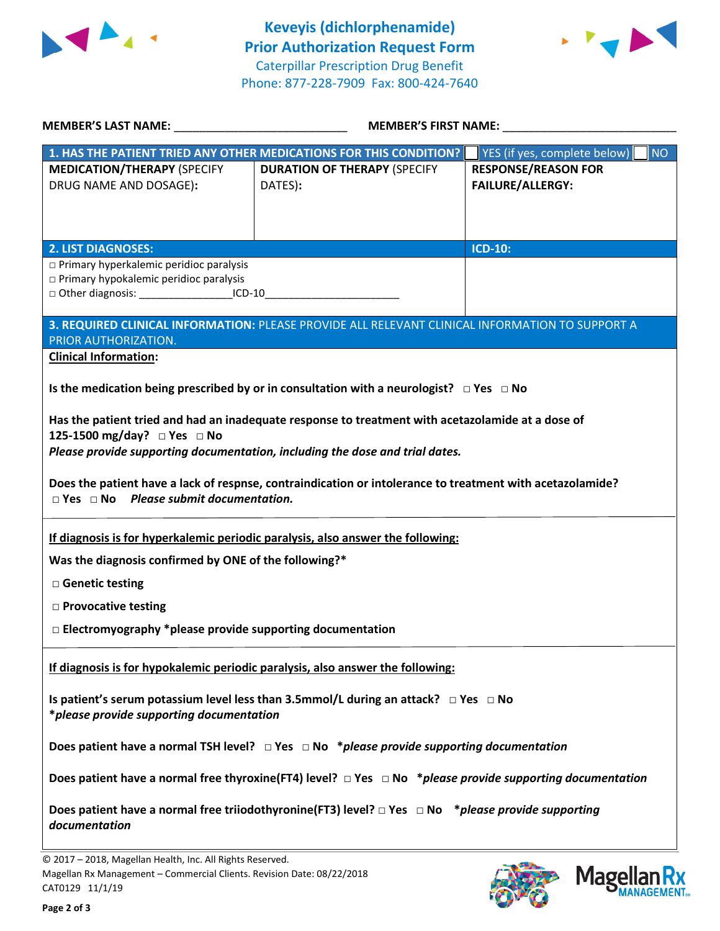



| <b>MEMBER'S LAST NAME:</b> NAME                                                                                                     |                                                                                                                                                                                                                                                                                                | <b>MEMBER'S FIRST NAME:</b>                           |  |  |
|-------------------------------------------------------------------------------------------------------------------------------------|------------------------------------------------------------------------------------------------------------------------------------------------------------------------------------------------------------------------------------------------------------------------------------------------|-------------------------------------------------------|--|--|
|                                                                                                                                     | 1. HAS THE PATIENT TRIED ANY OTHER MEDICATIONS FOR THIS CONDITION?                                                                                                                                                                                                                             | YES (if yes, complete below)<br><b>NO</b>             |  |  |
| <b>MEDICATION/THERAPY (SPECIFY</b><br>DRUG NAME AND DOSAGE):                                                                        | <b>DURATION OF THERAPY (SPECIFY</b><br>DATES):                                                                                                                                                                                                                                                 | <b>RESPONSE/REASON FOR</b><br><b>FAILURE/ALLERGY:</b> |  |  |
| <b>2. LIST DIAGNOSES:</b>                                                                                                           |                                                                                                                                                                                                                                                                                                | <b>ICD-10:</b>                                        |  |  |
| □ Primary hyperkalemic peridioc paralysis<br>$\square$ Primary hypokalemic peridioc paralysis                                       |                                                                                                                                                                                                                                                                                                |                                                       |  |  |
| PRIOR AUTHORIZATION.                                                                                                                | 3. REQUIRED CLINICAL INFORMATION: PLEASE PROVIDE ALL RELEVANT CLINICAL INFORMATION TO SUPPORT A                                                                                                                                                                                                |                                                       |  |  |
| <b>Clinical Information:</b>                                                                                                        | Is the medication being prescribed by or in consultation with a neurologist? $\Box$ Yes $\Box$ No                                                                                                                                                                                              |                                                       |  |  |
| 125-1500 mg/day? □ Yes □ No<br>$\Box$ Yes $\Box$ No Please submit documentation.                                                    | Has the patient tried and had an inadequate response to treatment with acetazolamide at a dose of<br>Please provide supporting documentation, including the dose and trial dates.<br>Does the patient have a lack of respnse, contraindication or intolerance to treatment with acetazolamide? |                                                       |  |  |
| Was the diagnosis confirmed by ONE of the following?*                                                                               | If diagnosis is for hyperkalemic periodic paralysis, also answer the following:                                                                                                                                                                                                                |                                                       |  |  |
| □ Genetic testing                                                                                                                   |                                                                                                                                                                                                                                                                                                |                                                       |  |  |
| □ Provocative testing                                                                                                               |                                                                                                                                                                                                                                                                                                |                                                       |  |  |
| $\Box$ Electromyography *please provide supporting documentation                                                                    |                                                                                                                                                                                                                                                                                                |                                                       |  |  |
|                                                                                                                                     | If diagnosis is for hypokalemic periodic paralysis, also answer the following:                                                                                                                                                                                                                 |                                                       |  |  |
| *please provide supporting documentation                                                                                            | Is patient's serum potassium level less than 3.5mmol/L during an attack? $\Box$ Yes $\Box$ No                                                                                                                                                                                                  |                                                       |  |  |
|                                                                                                                                     | Does patient have a normal TSH level? $\Box$ Yes $\Box$ No *please provide supporting documentation                                                                                                                                                                                            |                                                       |  |  |
|                                                                                                                                     | Does patient have a normal free thyroxine(FT4) level? $\Box$ Yes $\Box$ No *please provide supporting documentation                                                                                                                                                                            |                                                       |  |  |
| documentation                                                                                                                       | Does patient have a normal free triiodothyronine(FT3) level? $\Box$ Yes $\Box$ No *please provide supporting                                                                                                                                                                                   |                                                       |  |  |
| © 2017 - 2018, Magellan Health, Inc. All Rights Reserved.<br>Magellan Rx Management - Commercial Clients. Revision Date: 08/22/2018 |                                                                                                                                                                                                                                                                                                | $M$ agollan Ry                                        |  |  |

CAT0129 11/1/19